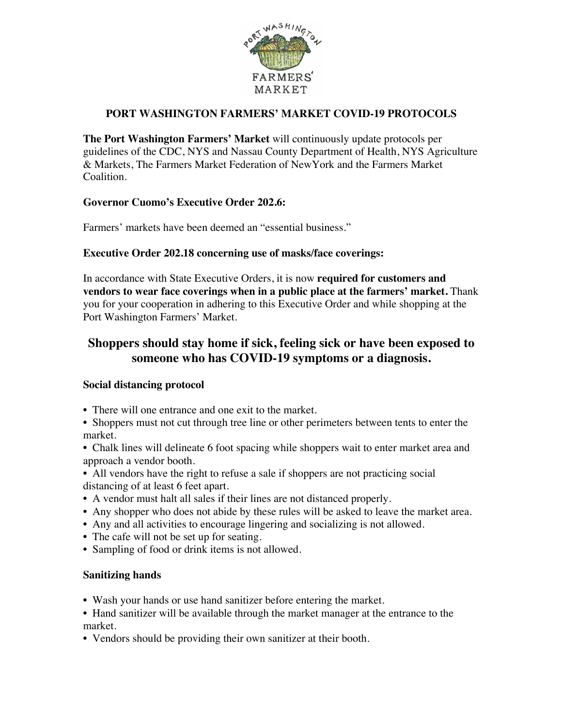

## **PORT WASHINGTON FARMERS' MARKET COVID-19 PROTOCOLS**

**The Port Washington Farmers' Market** will continuously update protocols per guidelines of the CDC, NYS and Nassau County Department of Health, NYS Agriculture & Markets, The Farmers Market Federation of NewYork and the Farmers Market Coalition.

#### **Governor Cuomo's Executive Order 202.6:**

Farmers' markets have been deemed an "essential business."

#### **Executive Order 202.18 concerning use of masks/face coverings:**

In accordance with State Executive Orders, it is now **required for customers and vendors to wear face coverings when in a public place at the farmers' market.** Thank you for your cooperation in adhering to this Executive Order and while shopping at the Port Washington Farmers' Market.

# **Shoppers should stay home if sick, feeling sick or have been exposed to someone who has COVID-19 symptoms or a diagnosis.**

#### **Social distancing protocol**

- There will one entrance and one exit to the market.
- Shoppers must not cut through tree line or other perimeters between tents to enter the market.
- Chalk lines will delineate 6 foot spacing while shoppers wait to enter market area and approach a vendor booth.
- All vendors have the right to refuse a sale if shoppers are not practicing social distancing of at least 6 feet apart.
- A vendor must halt all sales if their lines are not distanced properly.
- Any shopper who does not abide by these rules will be asked to leave the market area.
- Any and all activities to encourage lingering and socializing is not allowed.
- The cafe will not be set up for seating.
- Sampling of food or drink items is not allowed.

#### **Sanitizing hands**

- Wash your hands or use hand sanitizer before entering the market.
- Hand sanitizer will be available through the market manager at the entrance to the market.
- Vendors should be providing their own sanitizer at their booth.